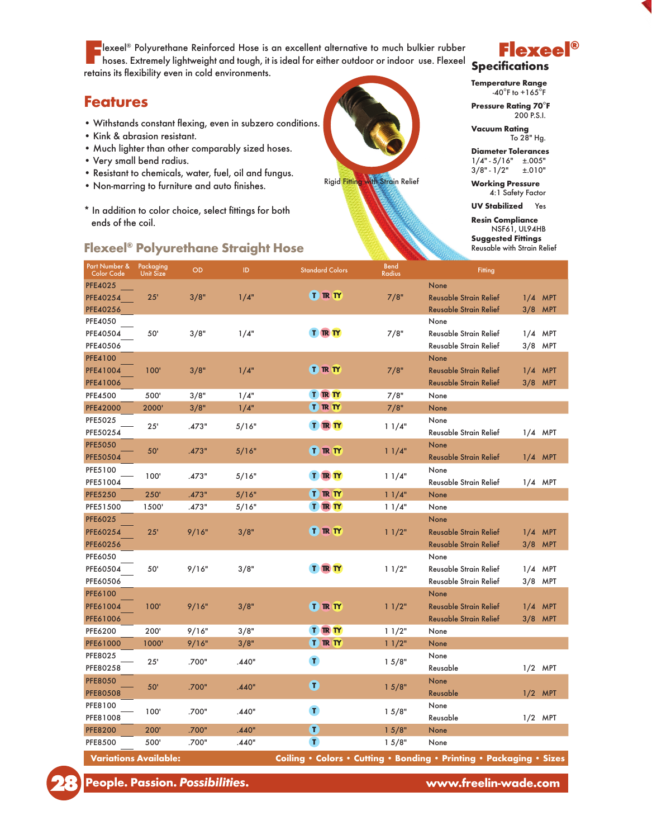**Flexeel® Polyurethane Reinforced Hose is an excellent alternative to much bulkier rubber**<br>hoses. Extremely lightweight and tough, it is ideal for either outdoor or indoor use. Flexeel retains its flexibility even in cold environments.

## Features

- Withstands constant flexing, even in subzero conditions.
- Kink & abrasion resistant.
- Much lighter than other comparably sized hoses.
- Very small bend radius.
- Resistant to chemicals, water, fuel, oil and fungus.
- Non-marring to furniture and auto finishes.
- \* In addition to color choice, select fittings for both ends of the coil.

## Flexeel® Polyurethane Straight Hose Reusable with Strain Relief



## Flexeel® **Specifications**

Temperature Range  $-40^\circ$ F to  $+165^\circ$ F

Pressure Rating 70°F 200 P.S.I.

Vacuum Rating To 28" Hg.

Diameter Tolerances  $1/4" - 5/16" \pm .005"$ 3/8" - 1/2" ±.010"

Working Pressure 4:1 Safety Factor

UV Stabilized Yes

Resin Compliance NSF61, UL94HB Suggested Fittings

| Part Number &<br>Color Code | Packaging<br><b>Unit Size</b> | OD    | ID    | <b>Standard Colors</b> | <b>Bend</b><br>Radius | <b>Fitting</b>                |           |            |
|-----------------------------|-------------------------------|-------|-------|------------------------|-----------------------|-------------------------------|-----------|------------|
| <b>PFE4025</b>              |                               |       |       |                        |                       | None                          |           |            |
| PFE40254                    | 25'                           | 3/8"  | 1/4"  | <b>T IR IY</b>         | 7/8"                  | <b>Reusable Strain Relief</b> | $1/4$ MPT |            |
| PFE40256                    |                               |       |       |                        |                       | Reusable Strain Relief        | 3/8       | <b>MPT</b> |
| PFE4050                     |                               |       |       |                        |                       | None                          |           |            |
| PFE40504                    | 50'                           | 3/8"  | 1/4"  | <b>TRT</b>             | 7/8"                  | Reusable Strain Relief        | 1/4       | MPT        |
| PFE40506                    |                               |       |       |                        |                       | Reusable Strain Relief        | 3/8       | MPT        |
| <b>PFE4100</b>              |                               |       |       |                        |                       | None                          |           |            |
| PFE41004                    | 100'                          | 3/8"  | 1/4"  | <b>T IR IY</b>         | 7/8"                  | <b>Reusable Strain Relief</b> | 1/4       | <b>MPT</b> |
| PFE41006                    |                               |       |       |                        |                       | <b>Reusable Strain Relief</b> | 3/8       | <b>MPT</b> |
| <b>PFE4500</b>              | 500'                          | 3/8"  | 1/4"  | <b>TRT</b>             | 7/8"                  | None                          |           |            |
| <b>PFE42000</b>             | 2000'                         | 3/8"  | 1/4"  | T <b>IR</b> TY         | 7/8"                  | None                          |           |            |
| PFE5025                     | 25'                           | .473" | 5/16" | <b>T R TY</b>          | 11/4"                 | None                          |           |            |
| PFE50254                    |                               |       |       |                        |                       | Reusable Strain Relief        | $1/4$ MPT |            |
| <b>PFE5050</b>              |                               | .473" | 5/16" |                        | 11/4"                 | None                          |           |            |
| PFE50504                    | 50'                           |       |       | <b>T IR IY</b>         |                       | <b>Reusable Strain Relief</b> | $1/4$ MPT |            |
| PFE5100                     |                               |       | 5/16" |                        |                       | None                          |           |            |
| PFE51004                    | 100'                          | .473" |       | <b>TRT</b>             | 11/4"                 | Reusable Strain Relief        | $1/4$ MPT |            |
| <b>PFE5250</b>              | 250'                          | .473" | 5/16" | <b>T IR IY</b>         | 11/4"                 | None                          |           |            |
| PFE51500                    | 1500'                         | .473" | 5/16" | <b>TRT</b>             | 11/4"                 | None                          |           |            |
| <b>PFE6025</b>              |                               |       |       |                        |                       | None                          |           |            |
| PFE60254                    | 25'                           | 9/16" | 3/8"  | <b>TRT</b>             | 11/2"                 | <b>Reusable Strain Relief</b> | 1/4       | <b>MPT</b> |
| PFE60256                    |                               |       |       |                        |                       | <b>Reusable Strain Relief</b> | 3/8       | <b>MPT</b> |
| PFE6050                     |                               |       |       |                        |                       | None                          |           |            |
| PFE60504                    | 50'                           | 9/16" | 3/8"  | <b>T IR IY</b>         | 11/2"                 | Reusable Strain Relief        | $1/4$ MPT |            |
| PFE60506                    |                               |       |       |                        |                       | Reusable Strain Relief        | 3/8       | MPT        |
| <b>PFE6100</b>              |                               |       |       |                        |                       | None                          |           |            |
| PFE61004                    | 100'                          | 9/16" | 3/8"  | <b>T R TY</b>          | 11/2"                 | Reusable Strain Relief        | 1/4       | <b>MPT</b> |
| PFE61006                    |                               |       |       |                        |                       | Reusable Strain Relief        | 3/8       | <b>MPT</b> |
| PFE6200                     | 200'                          | 9/16" | 3/8"  | <b>T IR IY</b>         | 11/2"                 | None                          |           |            |
| PFE61000                    | 1000'                         | 9/16" | 3/8"  | <b>T R TY</b>          | 11/2"                 | None                          |           |            |
| PFE8025                     | 25'                           | .700" | .440" | $\mathbf{T}$           | 15/8"                 | None                          |           |            |
| PFE80258                    |                               |       |       |                        |                       | Reusable                      | $1/2$ MPT |            |
| <b>PFE8050</b>              | 50'                           | .700" | .440" | $\blacksquare$         |                       | None                          |           |            |
| <b>PFE80508</b>             |                               |       |       |                        | 15/8"                 | Reusable                      | $1/2$ MPT |            |
| PFE8100                     | 100'                          | .700" | .440" | $\mathbf{T}$           | 15/8"                 | None                          |           |            |
| PFE81008                    |                               |       |       |                        |                       | Reusable                      | $1/2$ MPT |            |
| <b>PFE8200</b>              | 200'                          | .700" | .440" | π                      | 15/8"                 | None                          |           |            |
| <b>PFE8500</b>              | 500'                          | .700" | .440" | $\mathbf{T}$           | 15/8"                 | None                          |           |            |
|                             |                               |       |       |                        |                       |                               |           |            |

Variations Available: Coiling • Colors • Cutting • Bonding • Printing • Packaging • Sizes



www.freelin-wade.com